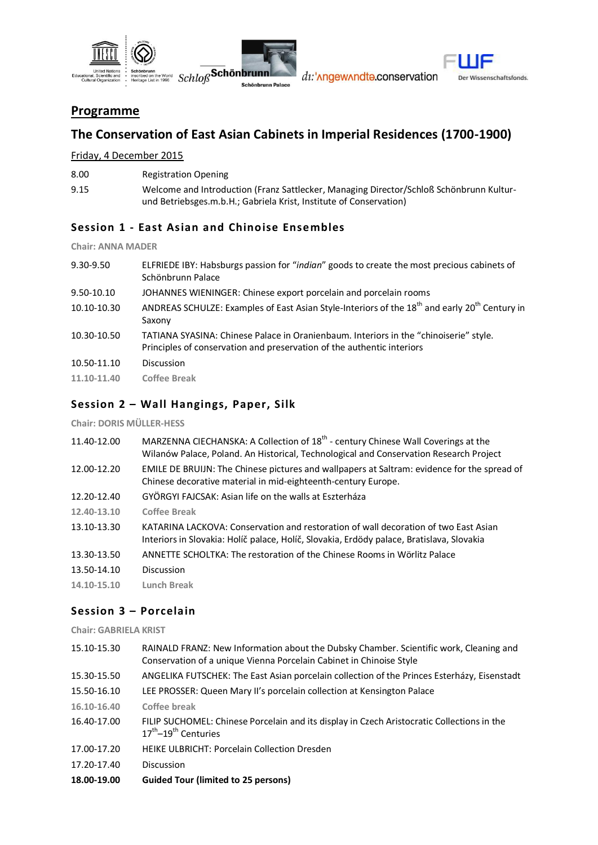



dı: 'nngewnndte.conservation



## **Programme**

# **The Conservation of East Asian Cabinets in Imperial Residences (1700-1900)**

Friday, 4 December 2015

| 8.00 | <b>Registration Opening</b> |
|------|-----------------------------|
|      |                             |

9.15 Welcome and Introduction (Franz Sattlecker, Managing Director/Schloß Schönbrunn Kulturund Betriebsges.m.b.H.; Gabriela Krist, Institute of Conservation)

### **Session 1 - East Asian and Chinoise Ensembles**

**Chair: ANNA MADER**

|                                                                                                                                                                                | ELFRIEDE IBY: Habsburgs passion for "indian" goods to create the most precious cabinets of |
|--------------------------------------------------------------------------------------------------------------------------------------------------------------------------------|--------------------------------------------------------------------------------------------|
| 9.50-10.10<br>JOHANNES WIENINGER: Chinese export porcelain and porcelain rooms                                                                                                 |                                                                                            |
| ANDREAS SCHULZE: Examples of East Asian Style-Interiors of the 18 <sup>th</sup> and early 20 <sup>th</sup> Century in<br>10.10-10.30<br>Saxony                                 |                                                                                            |
| TATIANA SYASINA: Chinese Palace in Oranienbaum. Interiors in the "chinoiserie" style.<br>10.30-10.50<br>Principles of conservation and preservation of the authentic interiors |                                                                                            |
| 10.50-11.10<br><b>Discussion</b>                                                                                                                                               |                                                                                            |

**11.10-11.40 Coffee Break**

### **Session 2 – Wall Hangings, Paper, Silk**

**Chair: DORIS MÜLLER-HESS**

| 11.40-12.00 | MARZENNA CIECHANSKA: A Collection of 18 <sup>th</sup> - century Chinese Wall Coverings at the |
|-------------|-----------------------------------------------------------------------------------------------|
|             | Wilanów Palace, Poland. An Historical, Technological and Conservation Research Project        |
|             |                                                                                               |

- 12.00-12.20 EMILE DE BRUIJN: The Chinese pictures and wallpapers at Saltram: evidence for the spread of Chinese decorative material in mid-eighteenth-century Europe.
- 12.20-12.40 GYÖRGYI FAJCSAK: Asian life on the walls at Eszterháza
- **12.40-13.10 Coffee Break**
- 13.10-13.30 KATARINA LACKOVA: Conservation and restoration of wall decoration of two East Asian Interiors in Slovakia: Holíč palace, Holíč, Slovakia, Erdödy palace, Bratislava, Slovakia
- 13.30-13.50 ANNETTE SCHOLTKA: The restoration of the Chinese Rooms in Wörlitz Palace
- 13.50-14.10 Discussion
- **14.10-15.10 Lunch Break**

### **Session 3 – Porcelain**

**Chair: GABRIELA KRIST**

15.10-15.30 RAINALD FRANZ: New Information about the Dubsky Chamber. Scientific work, Cleaning and Conservation of a unique Vienna Porcelain Cabinet in Chinoise Style 15.30-15.50 ANGELIKA FUTSCHEK: The East Asian porcelain collection of the Princes Esterházy, Eisenstadt 15.50-16.10 LEE PROSSER: Queen Mary II's porcelain collection at Kensington Palace **16.10-16.40 Coffee break** 16.40-17.00 FILIP SUCHOMEL: Chinese Porcelain and its display in Czech Aristocratic Collections in the 17<sup>th</sup>-19<sup>th</sup> Centuries 17.00-17.20 HEIKE ULBRICHT: Porcelain Collection Dresden 17.20-17.40 Discussion **18.00-19.00 Guided Tour (limited to 25 persons)**